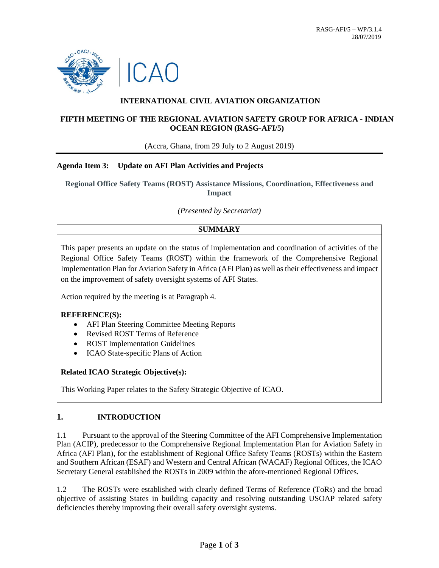

# **INTERNATIONAL CIVIL AVIATION ORGANIZATION**

## **FIFTH MEETING OF THE REGIONAL AVIATION SAFETY GROUP FOR AFRICA - INDIAN OCEAN REGION (RASG-AFI/5)**

(Accra, Ghana, from 29 July to 2 August 2019)

### **Agenda Item 3: Update on AFI Plan Activities and Projects**

**Regional Office Safety Teams (ROST) Assistance Missions, Coordination, Effectiveness and Impact**

*(Presented by Secretariat)*

## **SUMMARY**

This paper presents an update on the status of implementation and coordination of activities of the Regional Office Safety Teams (ROST) within the framework of the Comprehensive Regional Implementation Plan for Aviation Safety in Africa (AFI Plan) as well as their effectiveness and impact on the improvement of safety oversight systems of AFI States.

Action required by the meeting is at Paragraph 4.

#### **REFERENCE(S):**

- AFI Plan Steering Committee Meeting Reports
- Revised ROST Terms of Reference
- ROST Implementation Guidelines
- ICAO State-specific Plans of Action

## **Related ICAO Strategic Objective(s):**

This Working Paper relates to the Safety Strategic Objective of ICAO.

### **1. INTRODUCTION**

1.1 Pursuant to the approval of the Steering Committee of the AFI Comprehensive Implementation Plan (ACIP), predecessor to the Comprehensive Regional Implementation Plan for Aviation Safety in Africa (AFI Plan), for the establishment of Regional Office Safety Teams (ROSTs) within the Eastern and Southern African (ESAF) and Western and Central African (WACAF) Regional Offices, the ICAO Secretary General established the ROSTs in 2009 within the afore-mentioned Regional Offices.

1.2 The ROSTs were established with clearly defined Terms of Reference (ToRs) and the broad objective of assisting States in building capacity and resolving outstanding USOAP related safety deficiencies thereby improving their overall safety oversight systems.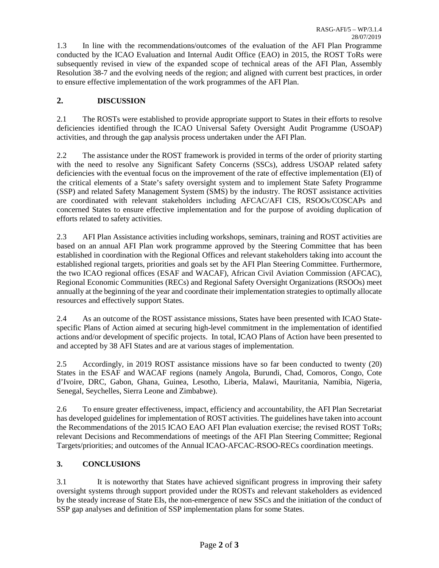1.3 In line with the recommendations/outcomes of the evaluation of the AFI Plan Programme conducted by the ICAO Evaluation and Internal Audit Office (EAO) in 2015, the ROST ToRs were subsequently revised in view of the expanded scope of technical areas of the AFI Plan, Assembly Resolution 38-7 and the evolving needs of the region; and aligned with current best practices, in order to ensure effective implementation of the work programmes of the AFI Plan.

## **2. DISCUSSION**

2.1 The ROSTs were established to provide appropriate support to States in their efforts to resolve deficiencies identified through the ICAO Universal Safety Oversight Audit Programme (USOAP) activities, and through the gap analysis process undertaken under the AFI Plan.

2.2 The assistance under the ROST framework is provided in terms of the order of priority starting with the need to resolve any Significant Safety Concerns (SSCs), address USOAP related safety deficiencies with the eventual focus on the improvement of the rate of effective implementation (EI) of the critical elements of a State's safety oversight system and to implement State Safety Programme (SSP) and related Safety Management System (SMS) by the industry. The ROST assistance activities are coordinated with relevant stakeholders including AFCAC/AFI CIS, RSOOs/COSCAPs and concerned States to ensure effective implementation and for the purpose of avoiding duplication of efforts related to safety activities.

2.3 AFI Plan Assistance activities including workshops, seminars, training and ROST activities are based on an annual AFI Plan work programme approved by the Steering Committee that has been established in coordination with the Regional Offices and relevant stakeholders taking into account the established regional targets, priorities and goals set by the AFI Plan Steering Committee. Furthermore, the two ICAO regional offices (ESAF and WACAF), African Civil Aviation Commission (AFCAC), Regional Economic Communities (RECs) and Regional Safety Oversight Organizations (RSOOs) meet annually at the beginning of the year and coordinate their implementation strategies to optimally allocate resources and effectively support States.

2.4 As an outcome of the ROST assistance missions, States have been presented with ICAO Statespecific Plans of Action aimed at securing high-level commitment in the implementation of identified actions and/or development of specific projects. In total, ICAO Plans of Action have been presented to and accepted by 38 AFI States and are at various stages of implementation.

2.5 Accordingly, in 2019 ROST assistance missions have so far been conducted to twenty (20) States in the ESAF and WACAF regions (namely Angola, Burundi, Chad, Comoros, Congo, Cote d'Ivoire, DRC, Gabon, Ghana, Guinea, Lesotho, Liberia, Malawi, Mauritania, Namibia, Nigeria, Senegal, Seychelles, Sierra Leone and Zimbabwe).

2.6 To ensure greater effectiveness, impact, efficiency and accountability, the AFI Plan Secretariat has developed guidelines for implementation of ROST activities. The guidelines have taken into account the Recommendations of the 2015 ICAO EAO AFI Plan evaluation exercise; the revised ROST ToRs; relevant Decisions and Recommendations of meetings of the AFI Plan Steering Committee; Regional Targets/priorities; and outcomes of the Annual ICAO-AFCAC-RSOO-RECs coordination meetings.

### **3. CONCLUSIONS**

3.1 It is noteworthy that States have achieved significant progress in improving their safety oversight systems through support provided under the ROSTs and relevant stakeholders as evidenced by the steady increase of State EIs, the non-emergence of new SSCs and the initiation of the conduct of SSP gap analyses and definition of SSP implementation plans for some States.